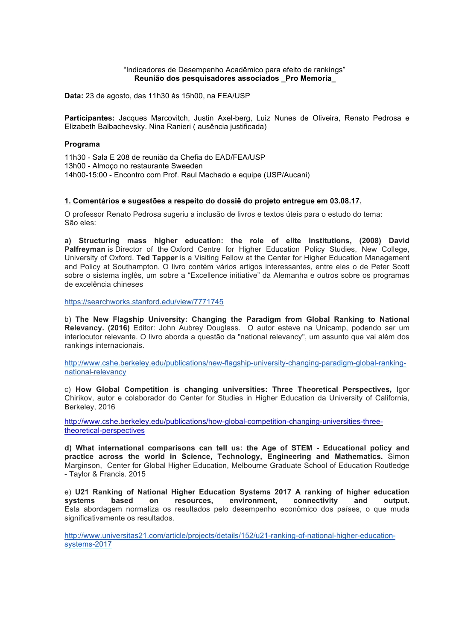#### "Indicadores de Desempenho Acadêmico para efeito de rankings"  **Reunião dos pesquisadores associados \_Pro Memoria\_**

**Data:** 23 de agosto, das 11h30 às 15h00, na FEA/USP

**Participantes:** Jacques Marcovitch, Justin Axel-berg, Luiz Nunes de Oliveira, Renato Pedrosa e Elizabeth Balbachevsky. Nina Ranieri ( ausência justificada)

#### **Programa**

11h30 - Sala E 208 de reunião da Chefia do EAD/FEA/USP 13h00 - Almoço no restaurante Sweeden 14h00-15:00 - Encontro com Prof. Raul Machado e equipe (USP/Aucani)

#### **1. Comentários e sugestões a respeito do dossiê do projeto entregue em 03.08.17.**

O professor Renato Pedrosa sugeriu a inclusão de livros e textos úteis para o estudo do tema: São eles:

**a) Structuring mass higher education: the role of elite institutions, (2008) David Palfreyman** is Director of the Oxford Centre for Higher Education Policy Studies, New College, University of Oxford. **Ted Tapper** is a Visiting Fellow at the Center for Higher Education Management and Policy at Southampton. O livro contém vários artigos interessantes, entre eles o de Peter Scott sobre o sistema inglês, um sobre a "Excellence initiative" da Alemanha e outros sobre os programas de excelência chineses

https://searchworks.stanford.edu/view/7771745

b) **The New Flagship University: Changing the Paradigm from Global Ranking to National Relevancy. (2016)** Editor: John Aubrey Douglass.O autor esteve na Unicamp, podendo ser um interlocutor relevante. O livro aborda a questão da "national relevancy", um assunto que vai além dos rankings internacionais.

http://www.cshe.berkeley.edu/publications/new-flagship-university-changing-paradigm-global-rankingnational-relevancy

c) **How Global Competition is changing universities: Three Theoretical Perspectives,** Igor Chirikov, autor e colaborador do Center for Studies in Higher Education da University of California, Berkeley, 2016

http://www.cshe.berkeley.edu/publications/how-global-competition-changing-universities-threetheoretical-perspectives

**d) What international comparisons can tell us: the Age of STEM - Educational policy and practice across the world in Science, Technology, Engineering and Mathematics.** Simon Marginson, Center for Global Higher Education, Melbourne Graduate School of Education Routledge - Taylor & Francis. 2015

e) **U21 Ranking of National Higher Education Systems 2017 A ranking of higher education systems based on resources, environment, connectivity and output.** Esta abordagem normaliza os resultados pelo desempenho econômico dos países, o que muda significativamente os resultados.

http://www.universitas21.com/article/projects/details/152/u21-ranking-of-national-higher-educationsystems-2017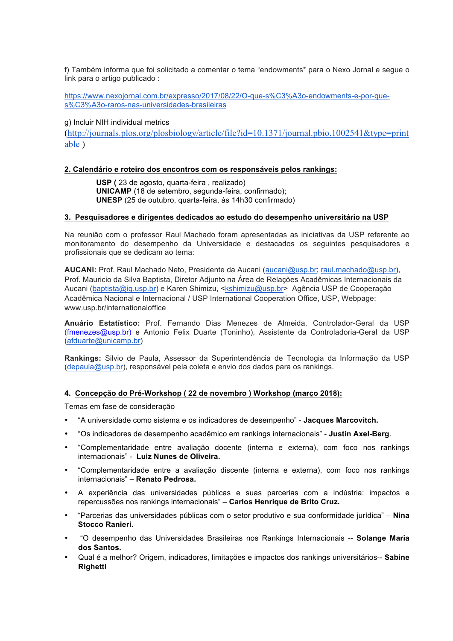f) Também informa que foi solicitado a comentar o tema "endowments\* para o Nexo Jornal e segue o link para o artigo publicado :

https://www.nexojornal.com.br/expresso/2017/08/22/O-que-s%C3%A3o-endowments-e-por-ques%C3%A3o-raros-nas-universidades-brasileiras

g) Incluir NIH individual metrics

(http://journals.plos.org/plosbiology/article/file?id=10.1371/journal.pbio.1002541&type=print able )

### **2. Calendário e roteiro dos encontros com os responsáveis pelos rankings:**

 **USP (** 23 de agosto, quarta-feira , realizado) **UNICAMP** (18 de setembro, segunda-feira, confirmado);  **UNESP** (25 de outubro, quarta-feira, às 14h30 confirmado)

### **3. Pesquisadores e dirigentes dedicados ao estudo do desempenho universitário na USP**

Na reunião com o professor Raul Machado foram apresentadas as iniciativas da USP referente ao monitoramento do desempenho da Universidade e destacados os seguintes pesquisadores e profissionais que se dedicam ao tema:

**AUCANI:** Prof. Raul Machado Neto, Presidente da Aucani (aucani@usp.br; raul.machado@usp.br), Prof. Mauricio da Silva Baptista, Diretor Adjunto na Área de Relações Acadêmicas Internacionais da Aucani (baptista@iq.usp.br) e Karen Shimizu, <kshimizu@usp.br> Agência USP de Cooperação Acadêmica Nacional e Internacional / USP International Cooperation Office, USP, Webpage: www.usp.br/internationaloffice

**Anuário Estatístico:** Prof. Fernando Dias Menezes de Almeida, Controlador-Geral da USP (fmenezes@usp.br) e Antonio Felix Duarte (Toninho), Assistente da Controladoria-Geral da USP (afduarte@unicamp.br)

**Rankings:** Silvio de Paula, Assessor da Superintendência de Tecnologia da Informação da USP (depaula@usp.br), responsável pela coleta e envio dos dados para os rankings.

### **4. Concepção do Pré-Workshop ( 22 de novembro ) Workshop (março 2018):**

Temas em fase de consideração

- "A universidade como sistema e os indicadores de desempenho" **Jacques Marcovitch.**
- "Os indicadores de desempenho acadêmico em rankings internacionais" **Justin Axel-Berg**.
- "Complementaridade entre avaliação docente (interna e externa), com foco nos rankings internacionais" - **Luiz Nunes de Oliveira.**
- "Complementaridade entre a avaliação discente (interna e externa), com foco nos rankings internacionais" – **Renato Pedrosa.**
- A experiência das universidades públicas e suas parcerias com a indústria: impactos e repercussões nos rankings internacionais" – **Carlos Henrique de Brito Cruz.**
- "Parcerias das universidades públicas com o setor produtivo e sua conformidade jurídica" **Nina Stocco Ranieri.**
- "O desempenho das Universidades Brasileiras nos Rankings Internacionais -- **Solange Maria dos Santos.**
- Qual é a melhor? Origem, indicadores, limitações e impactos dos rankings universitários-- **Sabine Righetti**